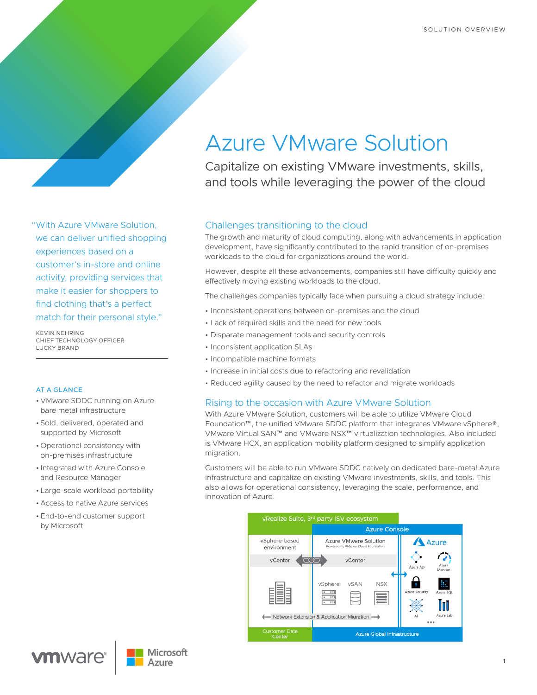"With Azure VMware Solution, we can deliver unified shopping experiences based on a customer's in-store and online activity, providing services that make it easier for shoppers to find clothing that's a perfect match for their personal style."

KEVIN NEHRING CHIEF TECHNOLOGY OFFICER LUCKY BRAND

## AT A GLANCE

- VMware SDDC running on Azure bare metal infrastructure
- Sold, delivered, operated and supported by Microsoft
- Operational consistency with on-premises infrastructure
- Integrated with Azure Console and Resource Manager
- Large-scale workload portability
- Access to native Azure services
- End-to-end customer support by Microsoft

# Azure VMware Solution

Capitalize on existing VMware investments, skills, and tools while leveraging the power of the cloud

# Challenges transitioning to the cloud

The growth and maturity of cloud computing, along with advancements in application development, have significantly contributed to the rapid transition of on-premises workloads to the cloud for organizations around the world.

However, despite all these advancements, companies still have difficulty quickly and effectively moving existing workloads to the cloud.

The challenges companies typically face when pursuing a cloud strategy include:

- Inconsistent operations between on-premises and the cloud
- Lack of required skills and the need for new tools
- Disparate management tools and security controls
- Inconsistent application SLAs
- Incompatible machine formats
- Increase in initial costs due to refactoring and revalidation
- Reduced agility caused by the need to refactor and migrate workloads

# Rising to the occasion with Azure VMware Solution

With Azure VMware Solution, customers will be able to utilize VMware Cloud Foundation™, the unified VMware SDDC platform that integrates VMware vSphere®, VMware Virtual SAN™ and VMware NSX™ virtualization technologies. Also included is VMware HCX, an application mobility platform designed to simplify application migration.

Customers will be able to run VMware SDDC natively on dedicated bare-metal Azure infrastructure and capitalize on existing VMware investments, skills, and tools. This also allows for operational consistency, leveraging the scale, performance, and innovation of Azure.

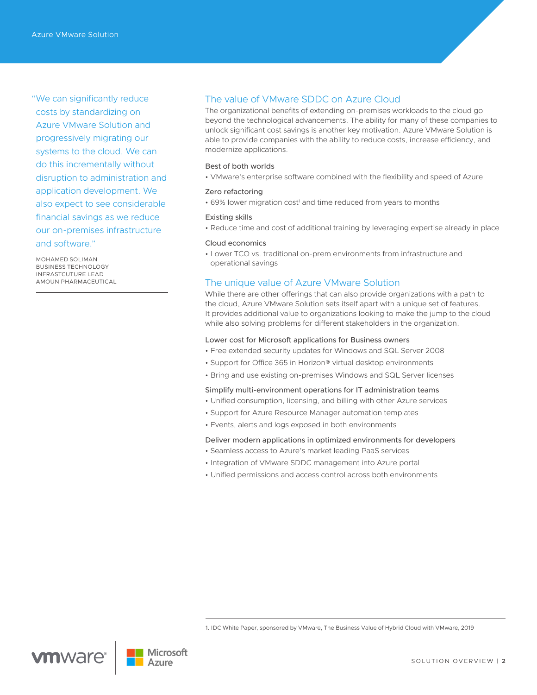"We can significantly reduce costs by standardizing on Azure VMware Solution and progressively migrating our systems to the cloud. We can do this incrementally without disruption to administration and application development. We also expect to see considerable financial savings as we reduce our on-premises infrastructure and software."

MOHAMED SOLIMAN BUSINESS TECHNOLOGY INFRASTCUTURE LEAD AMOUN PHARMACEUTICAL

# The value of VMware SDDC on Azure Cloud

The organizational benefits of extending on-premises workloads to the cloud go beyond the technological advancements. The ability for many of these companies to unlock significant cost savings is another key motivation. Azure VMware Solution is able to provide companies with the ability to reduce costs, increase efficiency, and modernize applications.

#### Best of both worlds

• VMware's enterprise software combined with the flexibility and speed of Azure

## Zero refactoring

• 69% lower migration cost<sup>1</sup> and time reduced from years to months

#### Existing skills

• Reduce time and cost of additional training by leveraging expertise already in place

#### Cloud economics

• Lower TCO vs. traditional on-prem environments from infrastructure and operational savings

# The unique value of Azure VMware Solution

While there are other offerings that can also provide organizations with a path to the cloud, Azure VMware Solution sets itself apart with a unique set of features. It provides additional value to organizations looking to make the jump to the cloud while also solving problems for different stakeholders in the organization.

#### Lower cost for Microsoft applications for Business owners

- Free extended security updates for Windows and SQL Server 2008
- Support for Office 365 in Horizon® virtual desktop environments
- Bring and use existing on-premises Windows and SQL Server licenses

#### Simplify multi-environment operations for IT administration teams

- Unified consumption, licensing, and billing with other Azure services
- Support for Azure Resource Manager automation templates
- Events, alerts and logs exposed in both environments

#### Deliver modern applications in optimized environments for developers

- Seamless access to Azure's market leading PaaS services
- Integration of VMware SDDC management into Azure portal
- Unified permissions and access control across both environments